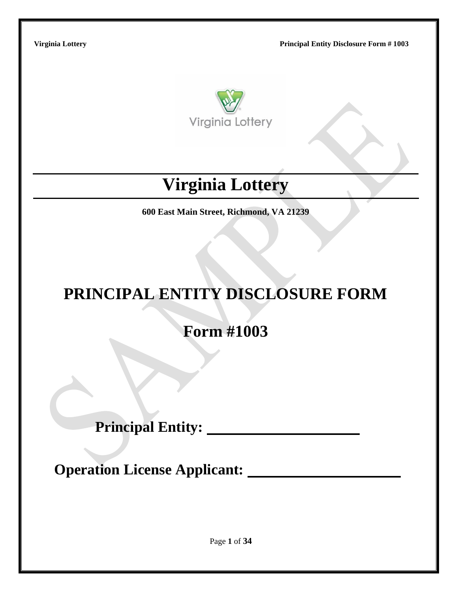

# **Virginia Lottery**

**600 East Main Street, Richmond, VA 21239**

# **PRINCIPAL ENTITY DISCLOSURE FORM**

**Form #1003**

**Principal Entity:**

**Operation License Applicant:**

Page **1** of **34**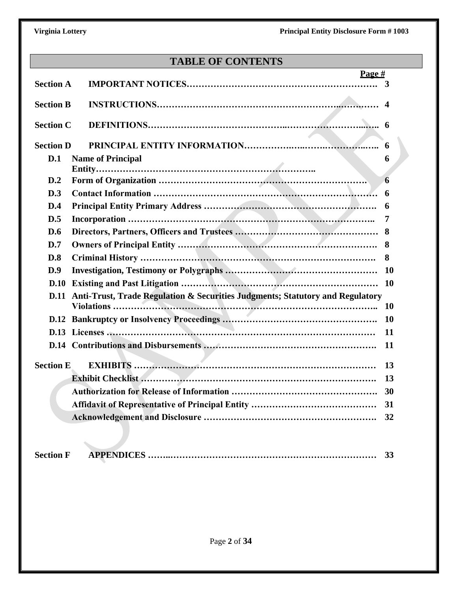# **TABLE OF CONTENTS**

|                  | Page #                                                                        |           |
|------------------|-------------------------------------------------------------------------------|-----------|
| <b>Section A</b> |                                                                               | 3         |
| <b>Section B</b> |                                                                               |           |
| <b>Section C</b> |                                                                               |           |
| <b>Section D</b> |                                                                               | 6         |
| D.1              | <b>Name of Principal</b>                                                      | 6         |
|                  |                                                                               |           |
| D.2              |                                                                               | 6         |
| D.3              |                                                                               | 6         |
| D.4              |                                                                               | 6         |
| D.5              |                                                                               | 7         |
| D.6              |                                                                               | 8         |
| D.7              |                                                                               | 8         |
| D.8              |                                                                               | 8         |
| D.9              |                                                                               | <b>10</b> |
| D.10             |                                                                               | <b>10</b> |
| D.11             | Anti-Trust, Trade Regulation & Securities Judgments; Statutory and Regulatory |           |
|                  |                                                                               | <b>10</b> |
| <b>D.12</b>      |                                                                               | <b>10</b> |
|                  |                                                                               | 11        |
|                  |                                                                               | 11        |
| <b>Section E</b> |                                                                               | 13        |
|                  |                                                                               | 13        |
|                  |                                                                               | 30        |
|                  |                                                                               | 31        |
|                  |                                                                               | 32        |
|                  |                                                                               |           |

| <b>Section F</b> | ີ |
|------------------|---|
|                  |   |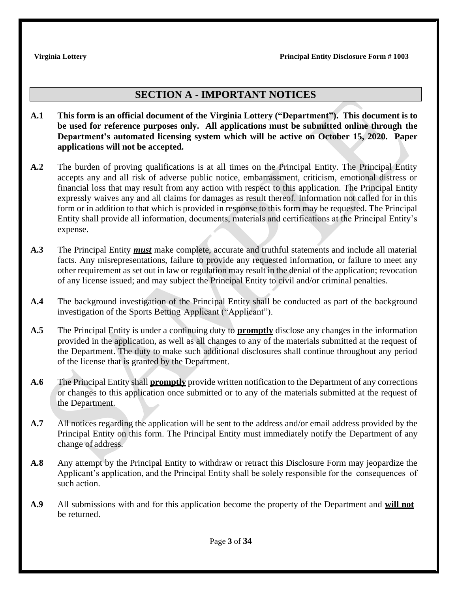# **SECTION A - IMPORTANT NOTICES**

- **A.1 This form is an official document of the Virginia Lottery ("Department"). This document is to be used for reference purposes only. All applications must be submitted online through the Department's automated licensing system which will be active on October 15, 2020. Paper applications will not be accepted.**
- **A.2** The burden of proving qualifications is at all times on the Principal Entity. The Principal Entity accepts any and all risk of adverse public notice, embarrassment, criticism, emotional distress or financial loss that may result from any action with respect to this application. The Principal Entity expressly waives any and all claims for damages as result thereof. Information not called for in this form or in addition to that which is provided in response to this form may be requested. The Principal Entity shall provide all information, documents, materials and certifications at the Principal Entity's expense.
- **A.3** The Principal Entity *must* make complete, accurate and truthful statements and include all material facts. Any misrepresentations, failure to provide any requested information, or failure to meet any other requirement as set out in law or regulation may result in the denial of the application; revocation of any license issued; and may subject the Principal Entity to civil and/or criminal penalties.
- **A.4** The background investigation of the Principal Entity shall be conducted as part of the background investigation of the Sports Betting Applicant ("Applicant").
- **A.5** The Principal Entity is under a continuing duty to **promptly** disclose any changes in the information provided in the application, as well as all changes to any of the materials submitted at the request of the Department. The duty to make such additional disclosures shall continue throughout any period of the license that is granted by the Department.
- **A.6** The Principal Entity shall **promptly** provide written notification to the Department of any corrections or changes to this application once submitted or to any of the materials submitted at the request of the Department.
- **A.7** All notices regarding the application will be sent to the address and/or email address provided by the Principal Entity on this form. The Principal Entity must immediately notify the Department of any change of address.
- **A.8** Any attempt by the Principal Entity to withdraw or retract this Disclosure Form may jeopardize the Applicant's application, and the Principal Entity shall be solely responsible for the consequences of such action.
- **A.9** All submissions with and for this application become the property of the Department and **will not** be returned.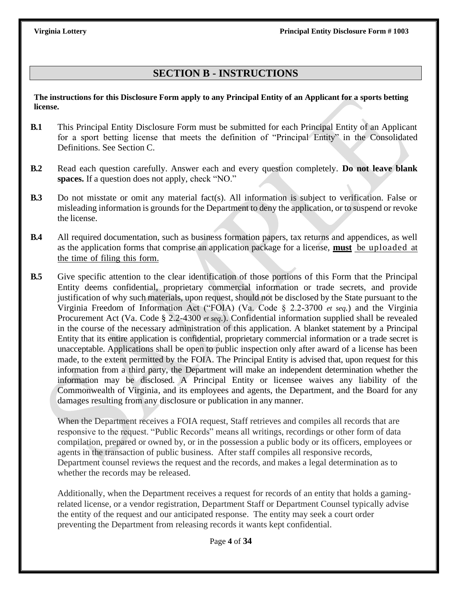# **SECTION B - INSTRUCTIONS**

**The instructions for this Disclosure Form apply to any Principal Entity of an Applicant for a sports betting license.** 

- **B.1** This Principal Entity Disclosure Form must be submitted for each Principal Entity of an Applicant for a sport betting license that meets the definition of "Principal Entity" in the Consolidated Definitions. See Section C.
- **B.2** Read each question carefully. Answer each and every question completely. **Do not leave blank spaces.** If a question does not apply, check "NO."
- **B.3** Do not misstate or omit any material fact(s). All information is subject to verification. False or misleading information is grounds for the Department to deny the application, or to suspend or revoke the license.
- **B.4** All required documentation, such as business formation papers, tax returns and appendices, as well as the application forms that comprise an application package for a license, **must** be uploaded at the time of filing this form.
- **B.5** Give specific attention to the clear identification of those portions of this Form that the Principal Entity deems confidential, proprietary commercial information or trade secrets, and provide justification of why such materials, upon request, should not be disclosed by the State pursuant to the Virginia Freedom of Information Act ("FOIA) (Va. Code § 2.2-3700 *et seq.*) and the Virginia Procurement Act (Va. Code § 2.2-4300 *et seq*.). Confidential information supplied shall be revealed in the course of the necessary administration of this application. A blanket statement by a Principal Entity that its entire application is confidential, proprietary commercial information or a trade secret is unacceptable. Applications shall be open to public inspection only after award of a license has been made, to the extent permitted by the FOIA. The Principal Entity is advised that, upon request for this information from a third party, the Department will make an independent determination whether the information may be disclosed. A Principal Entity or licensee waives any liability of the Commonwealth of Virginia, and its employees and agents, the Department, and the Board for any damages resulting from any disclosure or publication in any manner.

When the Department receives a FOIA request, Staff retrieves and compiles all records that are responsive to the request. "Public Records" means all writings, recordings or other form of data compilation, prepared or owned by, or in the possession a public body or its officers, employees or agents in the transaction of public business. After staff compiles all responsive records, Department counsel reviews the request and the records, and makes a legal determination as to whether the records may be released.

Additionally, when the Department receives a request for records of an entity that holds a gamingrelated license, or a vendor registration, Department Staff or Department Counsel typically advise the entity of the request and our anticipated response. The entity may seek a court order preventing the Department from releasing records it wants kept confidential.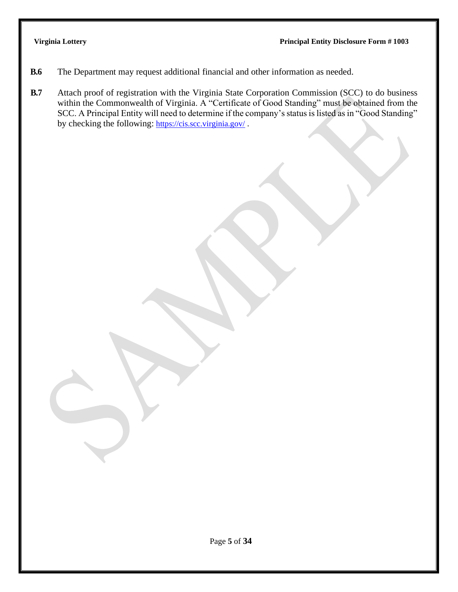- **B.6** The Department may request additional financial and other information as needed.
- **B.7** Attach proof of registration with the Virginia State Corporation Commission (SCC) to do business within the Commonwealth of Virginia. A "Certificate of Good Standing" must be obtained from the SCC. A Principal Entity will need to determine if the company's status is listed as in "Good Standing" by checking the following: <https://cis.scc.virginia.gov/>.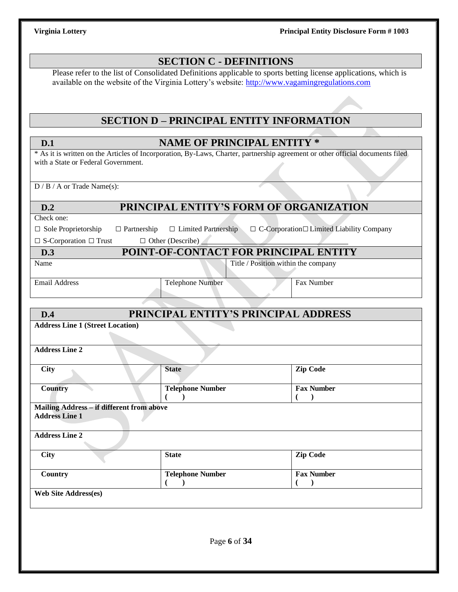|                                                                                                                                       | <b>SECTION C - DEFINITIONS</b>                  |  |                                                       |  |  |
|---------------------------------------------------------------------------------------------------------------------------------------|-------------------------------------------------|--|-------------------------------------------------------|--|--|
| Please refer to the list of Consolidated Definitions applicable to sports betting license applications, which is                      |                                                 |  |                                                       |  |  |
| available on the website of the Virginia Lottery's website: http://www.vagamingregulations.com                                        |                                                 |  |                                                       |  |  |
|                                                                                                                                       |                                                 |  |                                                       |  |  |
|                                                                                                                                       | <b>SECTION D - PRINCIPAL ENTITY INFORMATION</b> |  |                                                       |  |  |
|                                                                                                                                       |                                                 |  |                                                       |  |  |
| D.1<br>* As it is written on the Articles of Incorporation, By-Laws, Charter, partnership agreement or other official documents filed | <b>NAME OF PRINCIPAL ENTITY *</b>               |  |                                                       |  |  |
| with a State or Federal Government.                                                                                                   |                                                 |  |                                                       |  |  |
|                                                                                                                                       |                                                 |  |                                                       |  |  |
| $D / B / A$ or Trade Name(s):                                                                                                         |                                                 |  |                                                       |  |  |
| D.2                                                                                                                                   | PRINCIPAL ENTITY'S FORM OF ORGANIZATION         |  |                                                       |  |  |
| Check one:                                                                                                                            |                                                 |  |                                                       |  |  |
| $\hfill\Box$<br>Sole Proprietorship<br>$\Box$ Partnership                                                                             | $\Box$ Limited Partnership                      |  | $\Box$ C-Corporation $\Box$ Limited Liability Company |  |  |
| $\Box$ S-Corporation $\Box$ Trust<br>D.3                                                                                              | $\Box$ Other (Describe)                         |  |                                                       |  |  |
| POINT-OF-CONTACT FOR PRINCIPAL ENTITY<br>Title / Position within the company<br>Name                                                  |                                                 |  |                                                       |  |  |
|                                                                                                                                       |                                                 |  |                                                       |  |  |
| <b>Email Address</b>                                                                                                                  | <b>Telephone Number</b>                         |  | Fax Number                                            |  |  |
|                                                                                                                                       |                                                 |  |                                                       |  |  |
| D.4                                                                                                                                   | PRINCIPAL ENTITY'S PRINCIPAL ADDRESS            |  |                                                       |  |  |
| <b>Address Line 1 (Street Location)</b>                                                                                               |                                                 |  |                                                       |  |  |
| <b>Address Line 2</b>                                                                                                                 |                                                 |  |                                                       |  |  |
| City                                                                                                                                  | <b>State</b>                                    |  | <b>Zip Code</b>                                       |  |  |
| <b>Country</b>                                                                                                                        | Telephone Number                                |  | <b>Fax Number</b>                                     |  |  |
| Mailing Address - if different from above                                                                                             |                                                 |  |                                                       |  |  |
| <b>Address Line 1</b>                                                                                                                 |                                                 |  |                                                       |  |  |
| <b>Address Line 2</b>                                                                                                                 |                                                 |  |                                                       |  |  |
| <b>City</b>                                                                                                                           | <b>State</b>                                    |  | <b>Zip Code</b>                                       |  |  |
| Country                                                                                                                               | <b>Telephone Number</b>                         |  | <b>Fax Number</b>                                     |  |  |
|                                                                                                                                       |                                                 |  | $\lambda$                                             |  |  |
| <b>Web Site Address(es)</b>                                                                                                           |                                                 |  |                                                       |  |  |
|                                                                                                                                       |                                                 |  |                                                       |  |  |
|                                                                                                                                       |                                                 |  |                                                       |  |  |
|                                                                                                                                       | Page 6 of 34                                    |  |                                                       |  |  |
|                                                                                                                                       |                                                 |  |                                                       |  |  |
|                                                                                                                                       |                                                 |  |                                                       |  |  |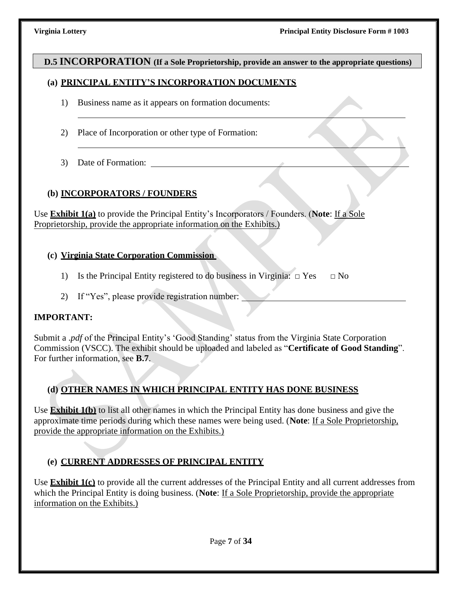### **D.5 INCORPORATION (If a Sole Proprietorship, provide an answer to the appropriate questions)**

### **(a) PRINCIPAL ENTITY'S INCORPORATION DOCUMENTS**

- 1) Business name as it appears on formation documents:
- 2) Place of Incorporation or other type of Formation:
- 3) Date of Formation:

### **(b) INCORPORATORS / FOUNDERS**

Use **Exhibit 1(a)** to provide the Principal Entity's Incorporators / Founders. (**Note**: If a Sole Proprietorship, provide the appropriate information on the Exhibits.)

### **(c) Virginia State Corporation Commission**

- 1) Is the Principal Entity registered to do business in Virginia:  $\Box$  Yes  $\Box$  No
- 2) If "Yes", please provide registration number:

### **IMPORTANT:**

Submit a .*pdf* of the Principal Entity's 'Good Standing' status from the Virginia State Corporation Commission (VSCC). The exhibit should be uploaded and labeled as "**Certificate of Good Standing**". For further information, see **B.7**.

### **(d) OTHER NAMES IN WHICH PRINCIPAL ENTITY HAS DONE BUSINESS**

Use **Exhibit 1(b)** to list all other names in which the Principal Entity has done business and give the approximate time periods during which these names were being used. (**Note**: If a Sole Proprietorship, provide the appropriate information on the Exhibits.)

### **(e) CURRENT ADDRESSES OF PRINCIPAL ENTITY**

Use **Exhibit 1(c)** to provide all the current addresses of the Principal Entity and all current addresses from which the Principal Entity is doing business. (**Note**: If a Sole Proprietorship, provide the appropriate information on the Exhibits.)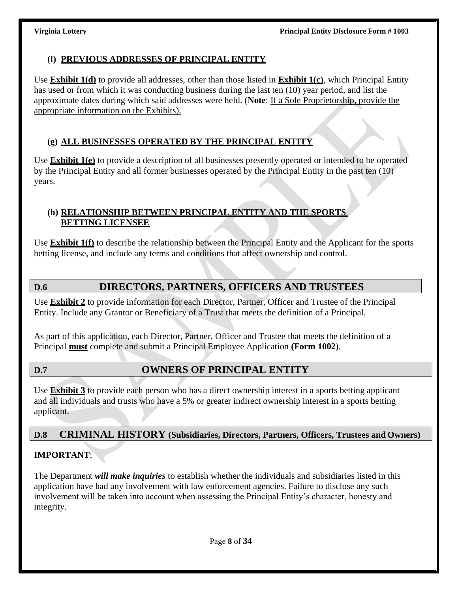# **(f) PREVIOUS ADDRESSES OF PRINCIPAL ENTITY**

Use **Exhibit 1(d)** to provide all addresses, other than those listed in **Exhibit 1(c)**, which Principal Entity has used or from which it was conducting business during the last ten (10) year period, and list the approximate dates during which said addresses were held. (**Note**: If a Sole Proprietorship, provide the appropriate information on the Exhibits).

# **(g) ALL BUSINESSES OPERATED BY THE PRINCIPAL ENTITY**

Use **Exhibit 1(e)** to provide a description of all businesses presently operated or intended to be operated by the Principal Entity and all former businesses operated by the Principal Entity in the past ten (10) years.

# **(h) RELATIONSHIP BETWEEN PRINCIPAL ENTITY AND THE SPORTS BETTING LICENSEE**

Use **Exhibit 1(f)** to describe the relationship between the Principal Entity and the Applicant for the sports betting license, and include any terms and conditions that affect ownership and control.

# **D.6 DIRECTORS, PARTNERS, OFFICERS AND TRUSTEES**

Use **Exhibit 2** to provide information for each Director, Partner, Officer and Trustee of the Principal Entity. Include any Grantor or Beneficiary of a Trust that meets the definition of a Principal.

As part of this application, each Director, Partner, Officer and Trustee that meets the definition of a Principal **must** complete and submit a Principal Employee Application **(Form 1002**).

# **D.7 OWNERS OF PRINCIPAL ENTITY**

Use **Exhibit 3** to provide each person who has a direct ownership interest in a sports betting applicant and all individuals and trusts who have a 5% or greater indirect ownership interest in a sports betting applicant.

# **D.8 CRIMINAL HISTORY (Subsidiaries, Directors, Partners, Officers, Trustees and Owners)**

# **IMPORTANT**:

The Department *will make inquiries* to establish whether the individuals and subsidiaries listed in this application have had any involvement with law enforcement agencies. Failure to disclose any such involvement will be taken into account when assessing the Principal Entity's character, honesty and integrity.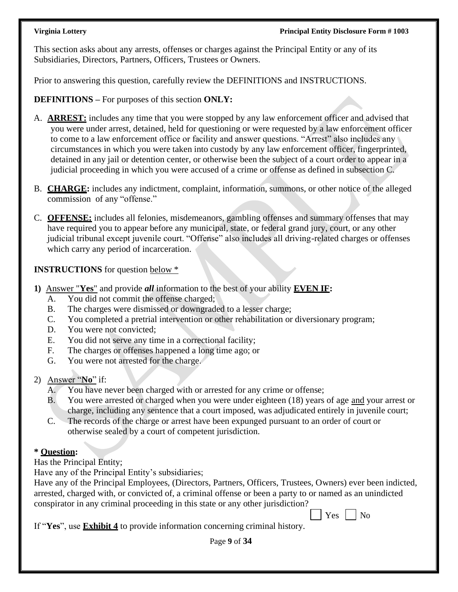This section asks about any arrests, offenses or charges against the Principal Entity or any of its Subsidiaries, Directors, Partners, Officers, Trustees or Owners.

Prior to answering this question, carefully review the DEFINITIONS and INSTRUCTIONS.

**DEFINITIONS –** For purposes of this section **ONLY:**

- A. **ARREST:** includes any time that you were stopped by any law enforcement officer and advised that you were under arrest, detained, held for questioning or were requested by a law enforcement officer to come to a law enforcement office or facility and answer questions. "Arrest" also includes any circumstances in which you were taken into custody by any law enforcement officer, fingerprinted, detained in any jail or detention center, or otherwise been the subject of a court order to appear in a judicial proceeding in which you were accused of a crime or offense as defined in subsection C.
- B. **CHARGE:** includes any indictment, complaint, information, summons, or other notice of the alleged commission of any "offense."
- C. **OFFENSE:** includes all felonies, misdemeanors, gambling offenses and summary offenses that may have required you to appear before any municipal, state, or federal grand jury, court, or any other judicial tribunal except juvenile court. "Offense" also includes all driving-related charges or offenses which carry any period of incarceration.

**INSTRUCTIONS** for question below \*

- **1)** Answer "**Yes**" and provide *all* information to the best of your ability **EVEN IF:**
	- A. You did not commit the offense charged;
	- B. The charges were dismissed or downgraded to a lesser charge;
	- C. You completed a pretrial intervention or other rehabilitation or diversionary program;
	- D. You were not convicted:
	- E. You did not serve any time in a correctional facility;
	- F. The charges or offenses happened a long time ago; or
	- G. You were not arrested for the charge.
- 2) Answer "**No**" if:
	- A. You have never been charged with or arrested for any crime or offense;
	- B. You were arrested or charged when you were under eighteen (18) years of age and your arrest or charge, including any sentence that a court imposed, was adjudicated entirely in juvenile court;
	- C. The records of the charge or arrest have been expunged pursuant to an order of court or otherwise sealed by a court of competent jurisdiction.

# **\* Question:**

Has the Principal Entity;

Have any of the Principal Entity's subsidiaries;

Have any of the Principal Employees, (Directors, Partners, Officers, Trustees, Owners) ever been indicted, arrested, charged with, or convicted of, a criminal offense or been a party to or named as an unindicted conspirator in any criminal proceeding in this state or any other jurisdiction?

|  |  | ٦ |
|--|--|---|
|--|--|---|

If "**Yes**", use **Exhibit 4** to provide information concerning criminal history.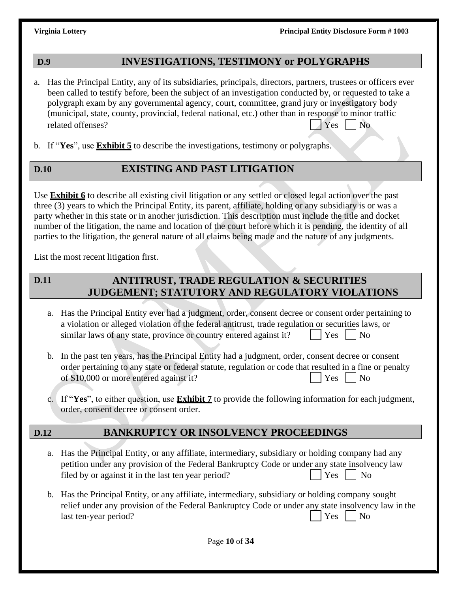# **D.9 INVESTIGATIONS, TESTIMONY or POLYGRAPHS**

- a. Has the Principal Entity, any of its subsidiaries, principals, directors, partners, trustees or officers ever been called to testify before, been the subject of an investigation conducted by, or requested to take a polygraph exam by any governmental agency, court, committee, grand jury or investigatory body (municipal, state, county, provincial, federal national, etc.) other than in response to minor traffic related offenses? Yes No
- b. If "**Yes**", use **Exhibit 5** to describe the investigations, testimony or polygraphs.

# **D.10 EXISTING AND PAST LITIGATION**

Use **Exhibit 6** to describe all existing civil litigation or any settled or closed legal action over the past three (3) years to which the Principal Entity, its parent, affiliate, holding or any subsidiary is or was a party whether in this state or in another jurisdiction. This description must include the title and docket number of the litigation, the name and location of the court before which it is pending, the identity of all parties to the litigation, the general nature of all claims being made and the nature of any judgments.

List the most recent litigation first.

### **ANTITRUST, TRADE REGULATION & SECURITIES JUDGEMENT; STATUTORY AND REGULATORY VIOLATIONS D.11**

- a. Has the Principal Entity ever had a judgment, order, consent decree or consent order pertaining to a violation or alleged violation of the federal antitrust, trade regulation or securities laws, or similar laws of any state, province or country entered against it?  $|\gamma_{\text{es}}|$  No
- b. In the past ten years, has the Principal Entity had a judgment, order, consent decree or consent order pertaining to any state or federal statute, regulation or code that resulted in a fine or penalty of \$10,000 or more entered against it? Yes No
- c. If "**Yes**", to either question, use **Exhibit 7** to provide the following information for each judgment, order, consent decree or consent order.

# **D.12 BANKRUPTCY OR INSOLVENCY PROCEEDINGS**

- a. Has the Principal Entity, or any affiliate, intermediary, subsidiary or holding company had any petition under any provision of the Federal Bankruptcy Code or under any state insolvency law filed by or against it in the last ten year period? Yes No
- b. Has the Principal Entity, or any affiliate, intermediary, subsidiary or holding company sought relief under any provision of the Federal Bankruptcy Code or under any state insolvency law in the last ten-year period?  $|$   $|$   $|$   $Y$ es  $|$   $|$   $|$   $N$ o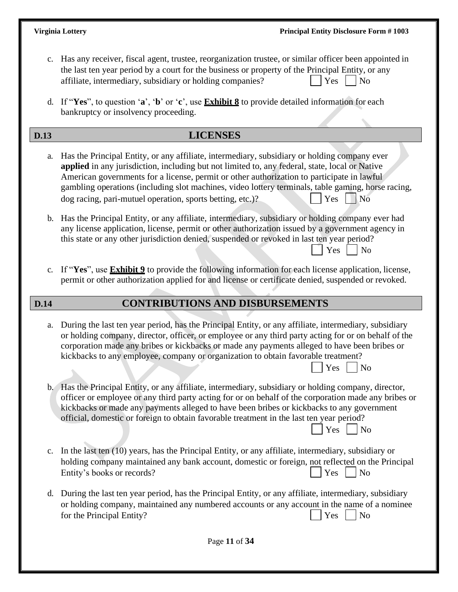$Yes \mid \mid No$ 

 $Yes \mid \text{No}$ 

- c. Has any receiver, fiscal agent, trustee, reorganization trustee, or similar officer been appointed in the last ten year period by a court for the business or property of the Principal Entity, or any affiliate, intermediary, subsidiary or holding companies?  $|$   $|$   $Yes$   $|$   $|$  No
- d. If "**Yes**", to question '**a**', '**b**' or '**c**', use **Exhibit 8** to provide detailed information for each bankruptcy or insolvency proceeding.

# **D.13 LICENSES**

- a. Has the Principal Entity, or any affiliate, intermediary, subsidiary or holding company ever **applied** in any jurisdiction, including but not limited to, any federal, state, local or Native American governments for a license, permit or other authorization to participate in lawful gambling operations (including slot machines, video lottery terminals, table gaming, horse racing,  $\log$  racing, pari-mutuel operation, sports betting, etc.)?  $\log$   $\log$   $\log$
- b. Has the Principal Entity, or any affiliate, intermediary, subsidiary or holding company ever had any license application, license, permit or other authorization issued by a government agency in this state or any other jurisdiction denied, suspended or revoked in last ten year period?  $Yes \mid \mid No$
- c. If "**Yes**", use **Exhibit 9** to provide the following information for each license application, license, permit or other authorization applied for and license or certificate denied, suspended or revoked.

# **D.14 CONTRIBUTIONS AND DISBURSEMENTS**

- a. During the last ten year period, has the Principal Entity, or any affiliate, intermediary, subsidiary or holding company, director, officer, or employee or any third party acting for or on behalf of the corporation made any bribes or kickbacks or made any payments alleged to have been bribes or kickbacks to any employee, company or organization to obtain favorable treatment?
- b. Has the Principal Entity, or any affiliate, intermediary, subsidiary or holding company, director, officer or employee or any third party acting for or on behalf of the corporation made any bribes or kickbacks or made any payments alleged to have been bribes or kickbacks to any government official, domestic or foreign to obtain favorable treatment in the last ten year period?
- c. In the last ten (10) years, has the Principal Entity, or any affiliate, intermediary, subsidiary or holding company maintained any bank account, domestic or foreign, not reflected on the Principal Entity's books or records?  $| \nvert$  Yes  $| \nvert$  No
- d. During the last ten year period, has the Principal Entity, or any affiliate, intermediary, subsidiary or holding company, maintained any numbered accounts or any account in the name of a nominee for the Principal Entity?  $|$   $|$   $Y$ es  $|$   $|$  No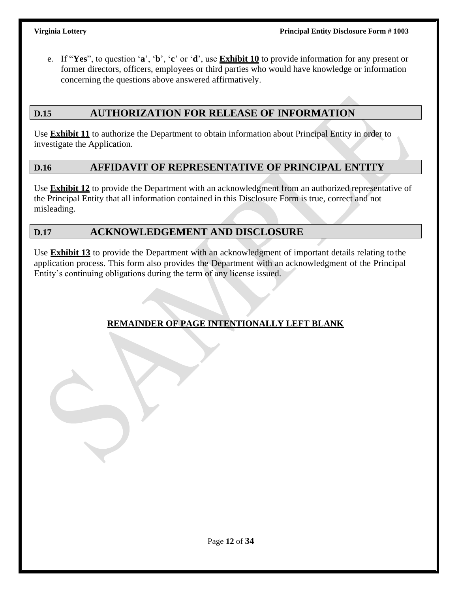e. If "**Yes**", to question '**a**', '**b**', '**c**' or '**d**', use **Exhibit 10** to provide information for any present or former directors, officers, employees or third parties who would have knowledge or information concerning the questions above answered affirmatively.

# **D.15 AUTHORIZATION FOR RELEASE OF INFORMATION**

Use **Exhibit 11** to authorize the Department to obtain information about Principal Entity in order to investigate the Application.

### **D.16 AFFIDAVIT OF REPRESENTATIVE OF PRINCIPAL ENTITY**

Use **Exhibit 12** to provide the Department with an acknowledgment from an authorized representative of the Principal Entity that all information contained in this Disclosure Form is true, correct and not misleading.

# **D.17 ACKNOWLEDGEMENT AND DISCLOSURE**

Use **Exhibit 13** to provide the Department with an acknowledgment of important details relating to the application process. This form also provides the Department with an acknowledgment of the Principal Entity's continuing obligations during the term of any license issued.

# **REMAINDER OF PAGE INTENTIONALLY LEFT BLANK**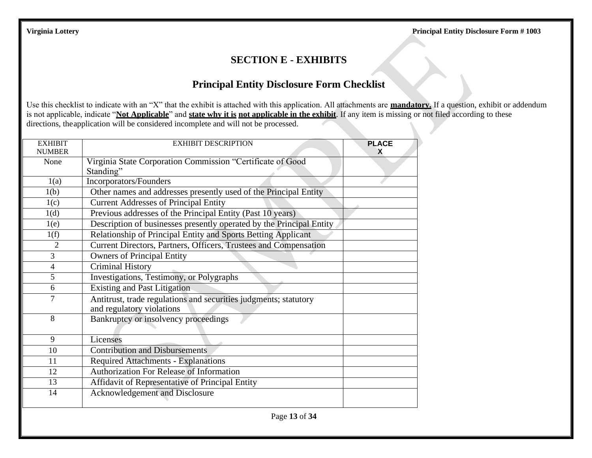# **SECTION E - EXHIBITS**

# **Principal Entity Disclosure Form Checklist**

Use this checklist to indicate with an "X" that the exhibit is attached with this application. All attachments are **mandatory.** If a question, exhibit or addendum is not applicable, indicate "**Not Applicable**" and **state why it is not applicable in the exhibit**. If any item is missing or not filed according to these directions, the application will be considered incomplete and will not be processed.

| <b>EXHIBIT</b><br><b>NUMBER</b> | <b>EXHIBIT DESCRIPTION</b>                                                                    | <b>PLACE</b><br>x |
|---------------------------------|-----------------------------------------------------------------------------------------------|-------------------|
| None                            | Virginia State Corporation Commission "Certificate of Good<br>Standing"                       |                   |
| 1(a)                            | Incorporators/Founders                                                                        |                   |
| 1(b)                            | Other names and addresses presently used of the Principal Entity                              |                   |
| 1(c)                            | <b>Current Addresses of Principal Entity</b>                                                  |                   |
| 1(d)                            | Previous addresses of the Principal Entity (Past 10 years)                                    |                   |
| 1(e)                            | Description of businesses presently operated by the Principal Entity                          |                   |
| 1(f)                            | Relationship of Principal Entity and Sports Betting Applicant                                 |                   |
| $\overline{2}$                  | Current Directors, Partners, Officers, Trustees and Compensation                              |                   |
| 3                               | <b>Owners of Principal Entity</b>                                                             |                   |
| $\overline{4}$                  | <b>Criminal History</b>                                                                       |                   |
| 5                               | Investigations, Testimony, or Polygraphs                                                      |                   |
| 6                               | <b>Existing and Past Litigation</b>                                                           |                   |
| $\overline{7}$                  | Antitrust, trade regulations and securities judgments; statutory<br>and regulatory violations |                   |
| 8                               | Bankruptcy or insolvency proceedings                                                          |                   |
| 9                               | Licenses                                                                                      |                   |
| 10                              | <b>Contribution and Disbursements</b>                                                         |                   |
| 11                              | <b>Required Attachments - Explanations</b>                                                    |                   |
| 12                              | <b>Authorization For Release of Information</b>                                               |                   |
| 13                              | Affidavit of Representative of Principal Entity                                               |                   |
| 14                              | Acknowledgement and Disclosure                                                                |                   |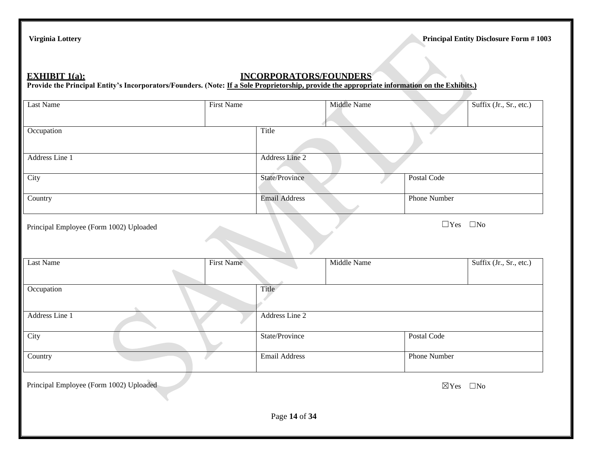# **EXHIBIT 1(a): INCORPORATORS/FOUNDERS**

Provide the Principal Entity's Incorporators/Founders. (Note: If a Sole Proprietorship, provide the appropriate information on the Exhibits.)

| Last Name                               | <b>First Name</b> |                      | Middle Name |                      | Suffix (Jr., Sr., etc.) |
|-----------------------------------------|-------------------|----------------------|-------------|----------------------|-------------------------|
| Occupation                              |                   | Title                |             |                      |                         |
| Address Line 1                          |                   | Address Line 2       |             |                      |                         |
| City                                    |                   | State/Province       |             | Postal Code          |                         |
| Country                                 |                   | <b>Email Address</b> |             | <b>Phone Number</b>  |                         |
| Principal Employee (Form 1002) Uploaded |                   |                      |             | $\Box$ Yes $\Box$ No |                         |
| <b>Last Name</b>                        | First Name        |                      | Middle Name |                      | Suffix (Jr., Sr., etc.) |
| Occupation                              |                   | Title                |             |                      |                         |
| Address Line 1                          |                   | Address Line 2       |             |                      |                         |
| City                                    |                   | State/Province       |             | Postal Code          |                         |
| Country                                 |                   | <b>Email Address</b> |             | Phone Number         |                         |
| Principal Employee (Form 1002) Uploaded |                   |                      |             | $\boxtimes$ Yes      | $\square$ No            |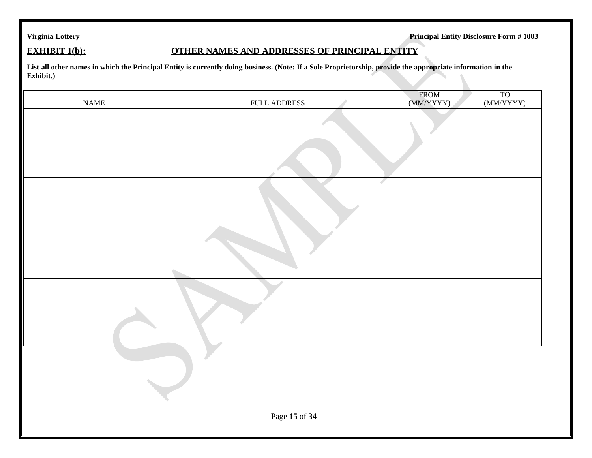### **EXHIBIT 1(b): COTHER NAMES AND ADDRESSES OF PRINCIPAL ENTITY**

**List all other names in which the Principal Entity is currently doing business. (Note: If a Sole Proprietorship, provide the appropriate information in the Exhibit.)**

| $\ensuremath{\mathsf{NAME}}$ | FULL ADDRESS | FROM<br>(MM/YYYY) | $\frac{TO}{(MM/YYYY)}$ |  |  |
|------------------------------|--------------|-------------------|------------------------|--|--|
|                              |              |                   |                        |  |  |
|                              |              |                   |                        |  |  |
|                              |              |                   |                        |  |  |
|                              |              |                   |                        |  |  |
|                              |              |                   |                        |  |  |
|                              |              |                   |                        |  |  |
|                              |              |                   |                        |  |  |
|                              |              |                   |                        |  |  |
|                              |              |                   |                        |  |  |
|                              |              |                   |                        |  |  |
| Page 15 of 34                |              |                   |                        |  |  |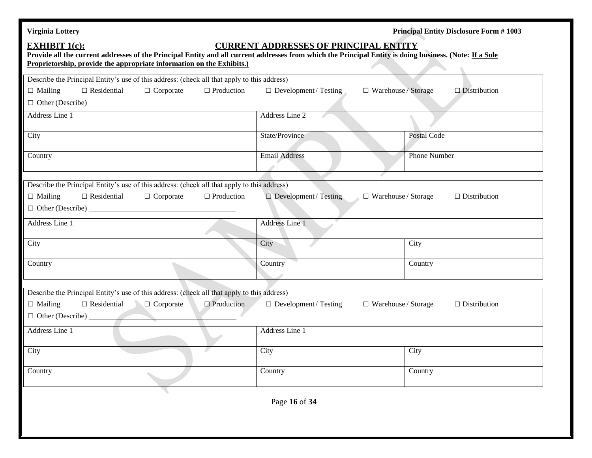| <b>Virginia Lottery</b>                                                                                                                                                                                                                                                                                  |                                                            | <b>Principal Entity Disclosure Form #1003</b> |  |  |  |
|----------------------------------------------------------------------------------------------------------------------------------------------------------------------------------------------------------------------------------------------------------------------------------------------------------|------------------------------------------------------------|-----------------------------------------------|--|--|--|
| <b>EXHIBIT 1(c):</b><br><b>CURRENT ADDRESSES OF PRINCIPAL ENTITY</b><br>Provide all the current addresses of the Principal Entity and all current addresses from which the Principal Entity is doing business. (Note: If a Sole<br>Proprietorship, provide the appropriate information on the Exhibits.) |                                                            |                                               |  |  |  |
| Describe the Principal Entity's use of this address: (check all that apply to this address)                                                                                                                                                                                                              |                                                            |                                               |  |  |  |
| $\Box$ Residential<br>$\Box$ Production<br>$\Box$ Mailing<br>$\Box$ Corporate                                                                                                                                                                                                                            | $\Box$ Development / Testing<br>$\Box$ Warehouse / Storage | $\Box$ Distribution                           |  |  |  |
| $\Box$ Other (Describe) $\_\_$                                                                                                                                                                                                                                                                           |                                                            |                                               |  |  |  |
| Address Line 1                                                                                                                                                                                                                                                                                           | Address Line 2                                             |                                               |  |  |  |
|                                                                                                                                                                                                                                                                                                          |                                                            |                                               |  |  |  |
| City                                                                                                                                                                                                                                                                                                     | State/Province                                             | Postal Code                                   |  |  |  |
|                                                                                                                                                                                                                                                                                                          | <b>Email Address</b>                                       | Phone Number                                  |  |  |  |
| Country                                                                                                                                                                                                                                                                                                  |                                                            |                                               |  |  |  |
|                                                                                                                                                                                                                                                                                                          |                                                            |                                               |  |  |  |
| Describe the Principal Entity's use of this address: (check all that apply to this address)                                                                                                                                                                                                              |                                                            |                                               |  |  |  |
| $\Box$ Mailing<br>$\Box$ Residential<br>$\Box$ Production<br>$\Box$ Corporate                                                                                                                                                                                                                            | $\Box$ Development / Testing<br>$\Box$ Warehouse / Storage | $\Box$ Distribution                           |  |  |  |
|                                                                                                                                                                                                                                                                                                          |                                                            |                                               |  |  |  |
| Address Line 1                                                                                                                                                                                                                                                                                           | Address Line 1                                             |                                               |  |  |  |
|                                                                                                                                                                                                                                                                                                          |                                                            |                                               |  |  |  |
| City                                                                                                                                                                                                                                                                                                     | City                                                       | City                                          |  |  |  |
|                                                                                                                                                                                                                                                                                                          |                                                            |                                               |  |  |  |
| Country                                                                                                                                                                                                                                                                                                  | Country                                                    | Country                                       |  |  |  |
|                                                                                                                                                                                                                                                                                                          |                                                            |                                               |  |  |  |
| Describe the Principal Entity's use of this address: (check all that apply to this address)                                                                                                                                                                                                              |                                                            |                                               |  |  |  |
| $\Box$ Production<br>$\Box$ Mailing<br>$\Box$ Residential<br>$\Box$ Corporate                                                                                                                                                                                                                            | $\Box$ Development / Testing<br>$\Box$ Warehouse / Storage | $\Box$ Distribution                           |  |  |  |
| $\Box$ Other (Describe) $\Box$                                                                                                                                                                                                                                                                           |                                                            |                                               |  |  |  |
| Address Line 1                                                                                                                                                                                                                                                                                           | Address Line 1                                             |                                               |  |  |  |
|                                                                                                                                                                                                                                                                                                          |                                                            |                                               |  |  |  |
| City                                                                                                                                                                                                                                                                                                     | City                                                       | City                                          |  |  |  |
|                                                                                                                                                                                                                                                                                                          |                                                            |                                               |  |  |  |
| Country                                                                                                                                                                                                                                                                                                  | Country                                                    | Country                                       |  |  |  |
|                                                                                                                                                                                                                                                                                                          |                                                            |                                               |  |  |  |
|                                                                                                                                                                                                                                                                                                          | Page 16 of 34                                              |                                               |  |  |  |
|                                                                                                                                                                                                                                                                                                          |                                                            |                                               |  |  |  |
|                                                                                                                                                                                                                                                                                                          |                                                            |                                               |  |  |  |
|                                                                                                                                                                                                                                                                                                          |                                                            |                                               |  |  |  |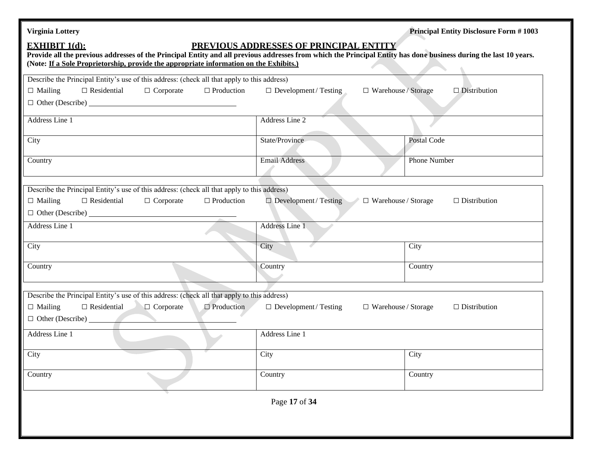| <b>Virginia Lottery</b>                                                                                                                                                                                                                                                             |                                                            | <b>Principal Entity Disclosure Form #1003</b> |
|-------------------------------------------------------------------------------------------------------------------------------------------------------------------------------------------------------------------------------------------------------------------------------------|------------------------------------------------------------|-----------------------------------------------|
| <b>EXHIBIT 1(d):</b><br>Provide all the previous addresses of the Principal Entity and all previous addresses from which the Principal Entity has done business during the last 10 years.<br>(Note: If a Sole Proprietorship, provide the appropriate information on the Exhibits.) | PREVIOUS ADDRESSES OF PRINCIPAL ENTITY                     |                                               |
| Describe the Principal Entity's use of this address: (check all that apply to this address)                                                                                                                                                                                         |                                                            |                                               |
| $\Box$ Residential<br>$\Box$ Mailing<br>$\Box$ Corporate<br>$\Box$ Production                                                                                                                                                                                                       | $\Box$ Development / Testing<br>$\Box$ Warehouse / Storage | $\Box$ Distribution                           |
|                                                                                                                                                                                                                                                                                     |                                                            |                                               |
| Address Line 1                                                                                                                                                                                                                                                                      | Address Line 2                                             |                                               |
| City                                                                                                                                                                                                                                                                                | State/Province                                             | Postal Code                                   |
| Country                                                                                                                                                                                                                                                                             | <b>Email Address</b>                                       | Phone Number                                  |
| Describe the Principal Entity's use of this address: (check all that apply to this address)<br>$\Box$ Residential<br>$\Box$ Production<br>$\Box$ Mailing<br>$\Box$ Corporate<br>$\Box$ Other (Describe) $\Box$                                                                      | $\Box$ Development / Testing<br>$\Box$ Warehouse / Storage | $\Box$ Distribution                           |
| Address Line 1                                                                                                                                                                                                                                                                      | Address Line 1                                             |                                               |
| City                                                                                                                                                                                                                                                                                | City                                                       | City                                          |
| Country                                                                                                                                                                                                                                                                             | Country                                                    | Country                                       |
| Describe the Principal Entity's use of this address: (check all that apply to this address)                                                                                                                                                                                         |                                                            |                                               |
| $\Box$ Production<br>$\Box$ Residential<br>$\Box$ Corporate<br>$\Box$ Mailing<br>$\Box$ Other (Describe)                                                                                                                                                                            | $\Box$ Development / Testing<br>$\Box$ Warehouse / Storage | $\Box$ Distribution                           |
| Address Line 1                                                                                                                                                                                                                                                                      | Address Line 1                                             |                                               |
| City                                                                                                                                                                                                                                                                                | City                                                       | City                                          |
| Country                                                                                                                                                                                                                                                                             | Country                                                    | Country                                       |
|                                                                                                                                                                                                                                                                                     | Page 17 of 34                                              |                                               |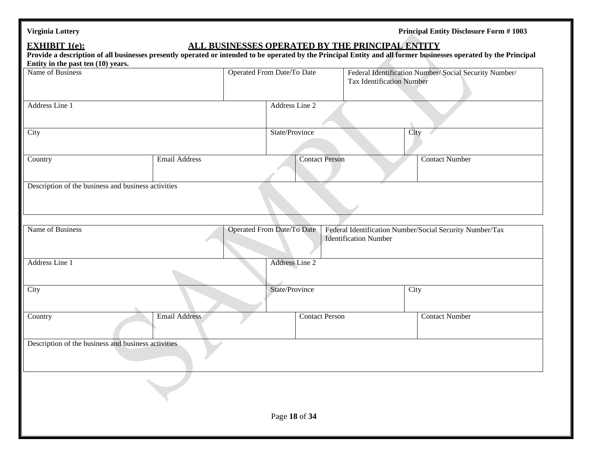| <b>Virginia Lottery</b> |
|-------------------------|
|-------------------------|

### **EXHIBIT 1(e): ALL BUSINESSES OPERATED BY THE PRINCIPAL ENTITY**

| Provide a description of all businesses presently operated or intended to be operated by the Principal Entity and all former businesses operated by the Principal |                      |                                   |                              |                                  |                                                          |
|-------------------------------------------------------------------------------------------------------------------------------------------------------------------|----------------------|-----------------------------------|------------------------------|----------------------------------|----------------------------------------------------------|
| Entity in the past ten $(10)$ years.<br>Name of Business                                                                                                          |                      | Operated From Date/To Date        |                              | <b>Tax Identification Number</b> | Federal Identification Number/ Social Security Number/   |
| Address Line 1                                                                                                                                                    |                      | Address Line 2                    |                              |                                  |                                                          |
| City                                                                                                                                                              |                      | State/Province                    |                              | City                             |                                                          |
| Country                                                                                                                                                           | <b>Email Address</b> | <b>Contact Person</b>             |                              |                                  | <b>Contact Number</b>                                    |
| Description of the business and business activities                                                                                                               |                      |                                   |                              |                                  |                                                          |
| Name of Business                                                                                                                                                  |                      | <b>Operated From Date/To Date</b> | <b>Identification Number</b> |                                  | Federal Identification Number/Social Security Number/Tax |
| Address Line 1                                                                                                                                                    |                      | <b>Address Line 2</b>             |                              |                                  |                                                          |
| City                                                                                                                                                              |                      | State/Province                    |                              | City                             |                                                          |
| Country                                                                                                                                                           | <b>Email Address</b> | <b>Contact Person</b>             |                              |                                  | <b>Contact Number</b>                                    |
| Description of the business and business activities                                                                                                               |                      |                                   |                              |                                  |                                                          |
|                                                                                                                                                                   |                      |                                   |                              |                                  |                                                          |
|                                                                                                                                                                   |                      | Page 18 of 34                     |                              |                                  |                                                          |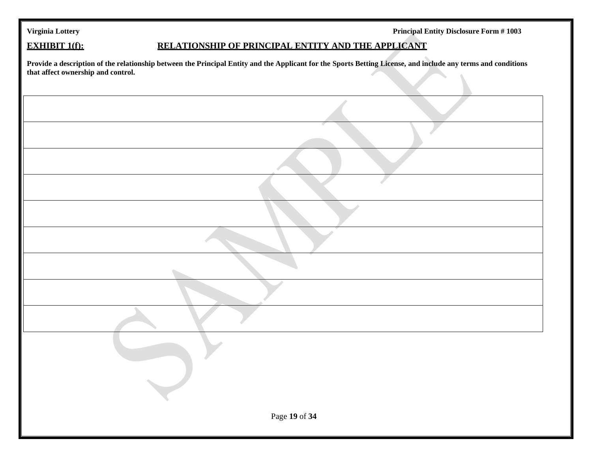|  | Virginia Lottery |
|--|------------------|
|  |                  |

Principal Entity Disclosure Form # 1003

### **EXHIBIT 1(f): RELATIONSHIP OF PRINCIPAL ENTITY AND THE APPLICANT**

**Provide a description of the relationship between the Principal Entity and the Applicant for the Sports Betting License, and include any terms and conditions that affect ownership and control.** $\hat{\mathbf{u}}$ 

| Page 19 of 34 |
|---------------|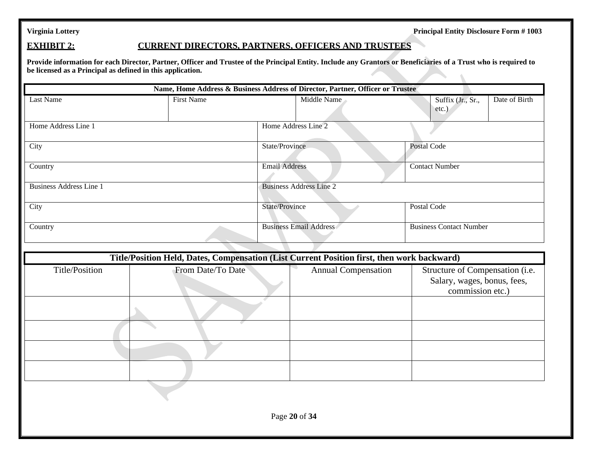### **EXHIBIT 2: CURRENT DIRECTORS, PARTNERS, OFFICERS AND TRUSTEES**

**Provide information for each Director, Partner, Officer and Trustee of the Principal Entity. Include any Grantors or Beneficiaries of a Trust who is required to be licensed as a Principal as defined in this application.**  $\overline{\phantom{a}}$ 

|                                |                                                                                            | Name, Home Address & Business Address of Director, Partner, Officer or Trustee |                                                                                    |  |  |
|--------------------------------|--------------------------------------------------------------------------------------------|--------------------------------------------------------------------------------|------------------------------------------------------------------------------------|--|--|
| Last Name                      | <b>First Name</b>                                                                          | Middle Name                                                                    | Date of Birth<br>Suffix (Jr., Sr.,<br>etc.)                                        |  |  |
| Home Address Line 1            |                                                                                            | Home Address Line 2                                                            |                                                                                    |  |  |
| City                           |                                                                                            | <b>State/Province</b>                                                          | Postal Code                                                                        |  |  |
| Country                        |                                                                                            | <b>Email Address</b>                                                           | <b>Contact Number</b>                                                              |  |  |
| <b>Business Address Line 1</b> |                                                                                            | <b>Business Address Line 2</b>                                                 |                                                                                    |  |  |
| City                           |                                                                                            | State/Province                                                                 | Postal Code                                                                        |  |  |
| Country                        |                                                                                            | <b>Business Email Address</b>                                                  | <b>Business Contact Number</b>                                                     |  |  |
|                                | Title/Position Held, Dates, Compensation (List Current Position first, then work backward) |                                                                                |                                                                                    |  |  |
| Title/Position                 | From Date/To Date                                                                          | <b>Annual Compensation</b>                                                     | Structure of Compensation (i.e.<br>Salary, wages, bonus, fees,<br>commission etc.) |  |  |
|                                |                                                                                            |                                                                                |                                                                                    |  |  |
|                                |                                                                                            |                                                                                |                                                                                    |  |  |
|                                |                                                                                            |                                                                                |                                                                                    |  |  |
|                                |                                                                                            |                                                                                |                                                                                    |  |  |
|                                |                                                                                            |                                                                                |                                                                                    |  |  |
| Page 20 of 34                  |                                                                                            |                                                                                |                                                                                    |  |  |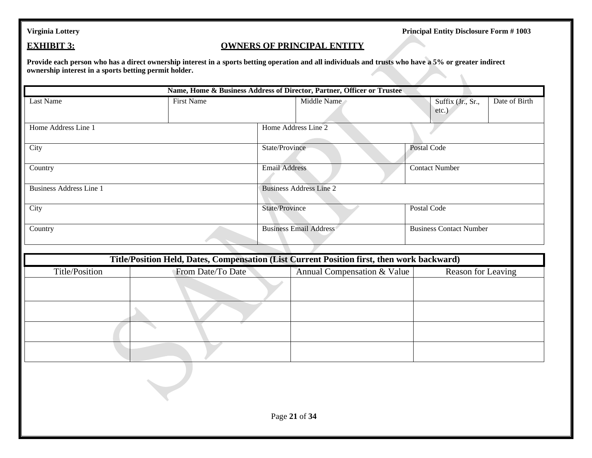### **EXHIBIT 3: OWNERS OF PRINCIPAL ENTITY**

**Provide each person who has a direct ownership interest in a sports betting operation and all individuals and trusts who have a 5% or greater indirect ownership interest in a sports betting permit holder.**

|                                | Name, Home & Business Address of Director, Partner, Officer or Trustee                     |                                |                             |  |                                |               |  |
|--------------------------------|--------------------------------------------------------------------------------------------|--------------------------------|-----------------------------|--|--------------------------------|---------------|--|
| Last Name                      | <b>First Name</b>                                                                          |                                | Middle Name                 |  | Suffix (Jr., Sr.,<br>etc.      | Date of Birth |  |
| Home Address Line 1            |                                                                                            | Home Address Line 2            |                             |  |                                |               |  |
| City                           |                                                                                            | State/Province                 |                             |  | Postal Code                    |               |  |
| Country                        |                                                                                            | <b>Email Address</b>           |                             |  | <b>Contact Number</b>          |               |  |
| <b>Business Address Line 1</b> |                                                                                            | <b>Business Address Line 2</b> |                             |  |                                |               |  |
| City                           |                                                                                            | State/Province                 |                             |  | Postal Code                    |               |  |
| Country                        |                                                                                            | <b>Business Email Address</b>  |                             |  | <b>Business Contact Number</b> |               |  |
|                                | Title/Position Held, Dates, Compensation (List Current Position first, then work backward) |                                |                             |  |                                |               |  |
| Title/Position                 | From Date/To Date                                                                          |                                | Annual Compensation & Value |  | Reason for Leaving             |               |  |
|                                |                                                                                            |                                |                             |  |                                |               |  |
|                                |                                                                                            |                                |                             |  |                                |               |  |
|                                |                                                                                            |                                |                             |  |                                |               |  |
|                                |                                                                                            |                                |                             |  |                                |               |  |
|                                |                                                                                            | Page 21 of 34                  |                             |  |                                |               |  |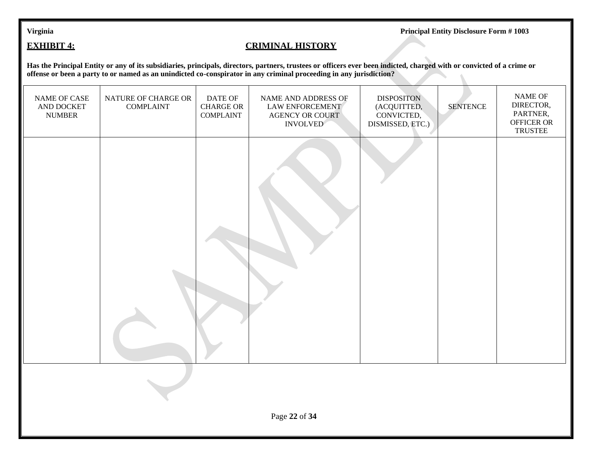### **EXHIBIT 4: CRIMINAL HISTORY**

**Has the Principal Entity or any of its subsidiaries, principals, directors, partners, trustees or officers ever been indicted, charged with or convicted of a crime or offense or been a party to or named as an unindicted co-conspirator in any criminal proceeding in any jurisdiction?**

| NAME OF CASE<br>AND DOCKET<br><b>NUMBER</b> | NATURE OF CHARGE OR<br><b>COMPLAINT</b> | DATE OF<br><b>CHARGE OR</b><br><b>COMPLAINT</b> | NAME AND ADDRESS OF<br><b>LAW ENFORCEMENT</b><br><b>AGENCY OR COURT</b><br><b>INVOLVED</b> | <b>DISPOSITON</b><br>(ACQUITTED,<br>CONVICTED,<br>DISMISSED, ETC.) | <b>SENTENCE</b> | NAME OF<br>DIRECTOR,<br>PARTNER,<br>OFFICER OR<br><b>TRUSTEE</b> |  |  |
|---------------------------------------------|-----------------------------------------|-------------------------------------------------|--------------------------------------------------------------------------------------------|--------------------------------------------------------------------|-----------------|------------------------------------------------------------------|--|--|
|                                             |                                         |                                                 |                                                                                            |                                                                    |                 |                                                                  |  |  |
|                                             |                                         |                                                 |                                                                                            |                                                                    |                 |                                                                  |  |  |
| Page 22 of 34                               |                                         |                                                 |                                                                                            |                                                                    |                 |                                                                  |  |  |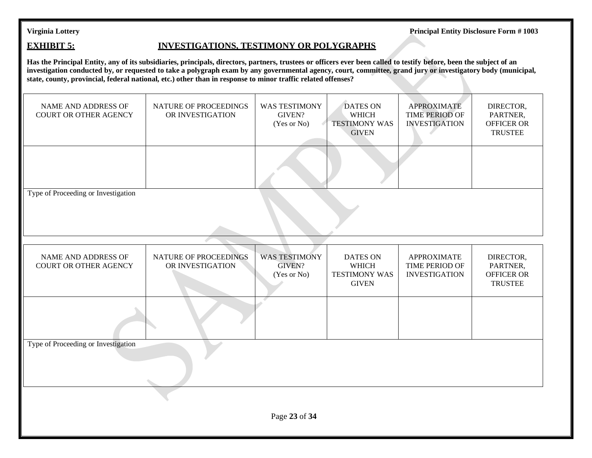### **EXHIBIT 5: INVESTIGATIONS, TESTIMONY OR POLYGRAPHS**

**Has the Principal Entity, any of its subsidiaries, principals, directors, partners, trustees or officers ever been called to testify before, been the subject of an investigation conducted by, or requested to take a polygraph exam by any governmental agency, court, committee, grand jury or investigatory body (municipal, state, county, provincial, federal national, etc.) other than in response to minor traffic related offenses?**

| NAME AND ADDRESS OF<br><b>COURT OR OTHER AGENCY</b> | NATURE OF PROCEEDINGS<br>OR INVESTIGATION | <b>WAS TESTIMONY</b><br>GIVEN?<br>(Yes or No)        | <b>DATES ON</b><br><b>WHICH</b><br><b>TESTIMONY WAS</b><br><b>GIVEN</b> | <b>APPROXIMATE</b><br><b>TIME PERIOD OF</b><br><b>INVESTIGATION</b> | DIRECTOR,<br>PARTNER,<br>OFFICER OR<br><b>TRUSTEE</b>        |  |
|-----------------------------------------------------|-------------------------------------------|------------------------------------------------------|-------------------------------------------------------------------------|---------------------------------------------------------------------|--------------------------------------------------------------|--|
|                                                     |                                           |                                                      |                                                                         |                                                                     |                                                              |  |
| Type of Proceeding or Investigation                 |                                           |                                                      |                                                                         |                                                                     |                                                              |  |
| NAME AND ADDRESS OF<br><b>COURT OR OTHER AGENCY</b> | NATURE OF PROCEEDINGS<br>OR INVESTIGATION | <b>WAS TESTIMONY</b><br><b>GIVEN?</b><br>(Yes or No) | <b>DATES ON</b><br><b>WHICH</b><br><b>TESTIMONY WAS</b><br><b>GIVEN</b> | <b>APPROXIMATE</b><br>TIME PERIOD OF<br><b>INVESTIGATION</b>        | DIRECTOR,<br>PARTNER,<br><b>OFFICER OR</b><br><b>TRUSTEE</b> |  |
|                                                     |                                           |                                                      |                                                                         |                                                                     |                                                              |  |
| Type of Proceeding or Investigation                 |                                           |                                                      |                                                                         |                                                                     |                                                              |  |
| Page 23 of 34                                       |                                           |                                                      |                                                                         |                                                                     |                                                              |  |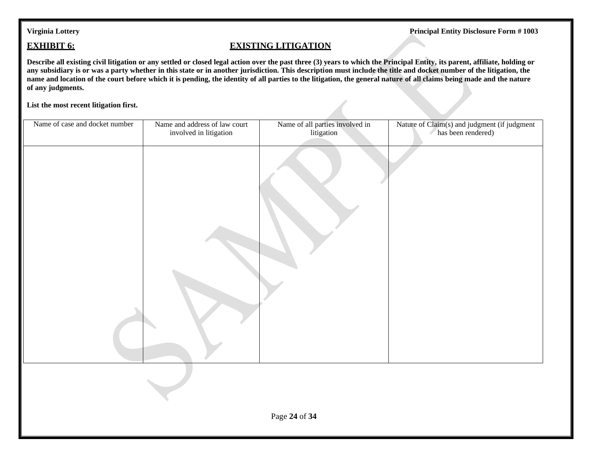### **EXHIBIT 6: EXISTING LITIGATION**

**Describe all existing civil litigation or any settled or closed legal action over the past three (3) years to which the Principal Entity, its parent, affiliate, holding or any subsidiary is or was a party whether in this state or in another jurisdiction. This description must include the title and docket number of the litigation, the name and location of the court before which it is pending, the identity of all parties to the litigation, the general nature of all claims being made and the nature of any judgments.**

**List the most recent litigation first.**

| Name of case and docket number | Name and address of law court<br>involved in litigation | Name of all parties involved in<br>litigation | Nature of Claim(s) and judgment (if judgment<br>has been rendered) |
|--------------------------------|---------------------------------------------------------|-----------------------------------------------|--------------------------------------------------------------------|
|                                |                                                         |                                               |                                                                    |
|                                |                                                         |                                               |                                                                    |
|                                |                                                         | Page 24 of 34                                 |                                                                    |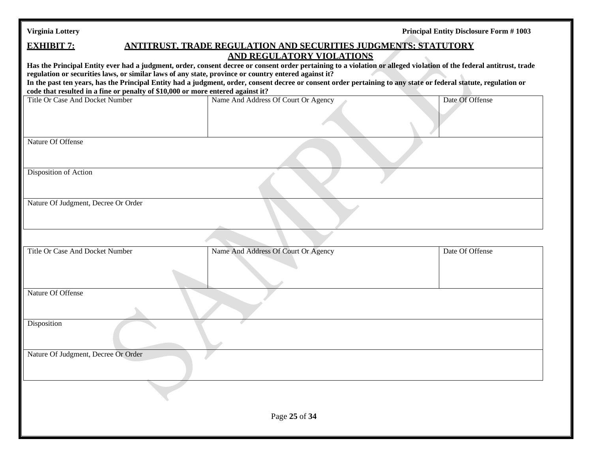| Virginia Lottery |  |  |
|------------------|--|--|
|                  |  |  |

| <b>EXHIBIT 7:</b>                                                                                                                                                                                                                                   | <b>ANTITRUST, TRADE REGULATION AND SECURITIES JUDGMENTS; STATUTORY</b> |                 |
|-----------------------------------------------------------------------------------------------------------------------------------------------------------------------------------------------------------------------------------------------------|------------------------------------------------------------------------|-----------------|
| Has the Principal Entity ever had a judgment, order, consent decree or consent order pertaining to a violation or alleged violation of the federal antitrust, trade                                                                                 | <b>AND REGULATORY VIOLATIONS</b>                                       |                 |
| regulation or securities laws, or similar laws of any state, province or country entered against it?                                                                                                                                                |                                                                        |                 |
| In the past ten years, has the Principal Entity had a judgment, order, consent decree or consent order pertaining to any state or federal statute, regulation or<br>code that resulted in a fine or penalty of \$10,000 or more entered against it? |                                                                        |                 |
| Title Or Case And Docket Number                                                                                                                                                                                                                     | Name And Address Of Court Or Agency                                    | Date Of Offense |
|                                                                                                                                                                                                                                                     |                                                                        |                 |
|                                                                                                                                                                                                                                                     |                                                                        |                 |
| Nature Of Offense                                                                                                                                                                                                                                   |                                                                        |                 |
|                                                                                                                                                                                                                                                     |                                                                        |                 |
| Disposition of Action                                                                                                                                                                                                                               |                                                                        |                 |
| Nature Of Judgment, Decree Or Order                                                                                                                                                                                                                 |                                                                        |                 |
|                                                                                                                                                                                                                                                     |                                                                        |                 |
| Title Or Case And Docket Number                                                                                                                                                                                                                     | Name And Address Of Court Or Agency                                    | Date Of Offense |
|                                                                                                                                                                                                                                                     |                                                                        |                 |
| Nature Of Offense                                                                                                                                                                                                                                   |                                                                        |                 |
| Disposition                                                                                                                                                                                                                                         |                                                                        |                 |
| Nature Of Judgment, Decree Or Order                                                                                                                                                                                                                 |                                                                        |                 |
|                                                                                                                                                                                                                                                     |                                                                        |                 |
|                                                                                                                                                                                                                                                     |                                                                        |                 |
|                                                                                                                                                                                                                                                     | Page 25 of 34                                                          |                 |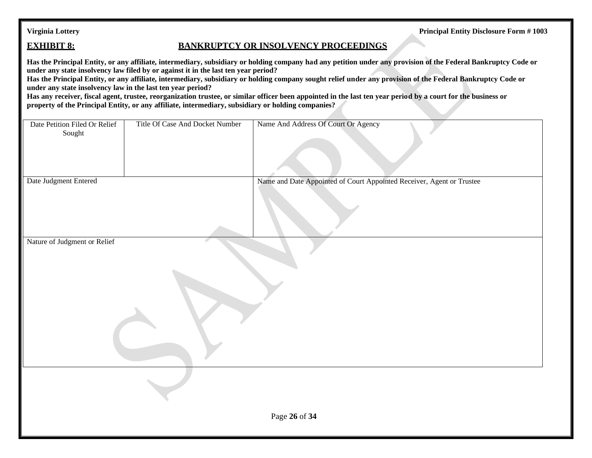### **EXHIBIT 8: BANKRUPTCY OR INSOLVENCY PROCEEDINGS**

**Has the Principal Entity, or any affiliate, intermediary, subsidiary or holding company had any petition under any provision of the Federal Bankruptcy Code or under any state insolvency law filed by or against it in the last ten year period?**

**Has the Principal Entity, or any affiliate, intermediary, subsidiary or holding company sought relief under any provision of the Federal Bankruptcy Code or under any state insolvency law in the last ten year period?**

**Has any receiver, fiscal agent, trustee, reorganization trustee, or similar officer been appointed in the last ten year period by a court for the business or property of the Principal Entity, or any affiliate, intermediary, subsidiary or holding companies?**

| Date Petition Filed Or Relief<br>Sought | Title Of Case And Docket Number | Name And Address Of Court Or Agency                                   |
|-----------------------------------------|---------------------------------|-----------------------------------------------------------------------|
| Date Judgment Entered                   |                                 | Name and Date Appointed of Court Appointed Receiver, Agent or Trustee |
|                                         |                                 |                                                                       |
| Nature of Judgment or Relief            |                                 |                                                                       |
|                                         |                                 |                                                                       |
|                                         |                                 |                                                                       |
|                                         |                                 |                                                                       |
|                                         |                                 |                                                                       |
|                                         |                                 |                                                                       |
|                                         |                                 |                                                                       |
|                                         |                                 |                                                                       |
|                                         |                                 |                                                                       |
|                                         |                                 |                                                                       |
|                                         |                                 |                                                                       |
|                                         |                                 | Page 26 of 34                                                         |
|                                         |                                 |                                                                       |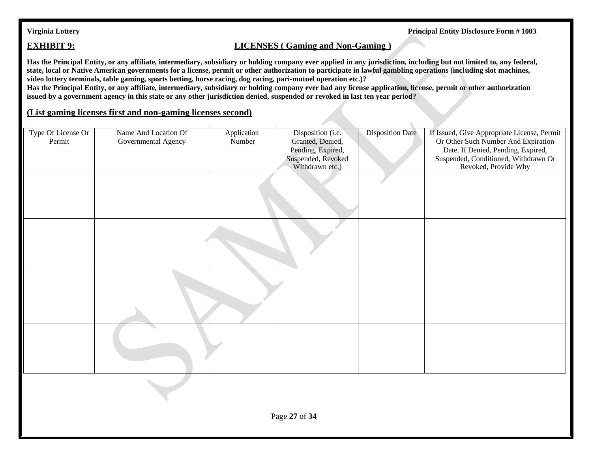### **EXHIBIT 9: LICENSES** ( Gaming and Non-Gaming )

**Has the Principal Entity, or any affiliate, intermediary, subsidiary or holding company ever applied in any jurisdiction, including but not limited to, any federal, state, local or Native American governments for a license, permit or other authorization to participate in lawful gambling operations (including slot machines, video lottery terminals, table gaming, sports betting, horse racing, dog racing, pari-mutuel operation etc.)?**

**Has the Principal Entity, or any affiliate, intermediary, subsidiary or holding company ever had any license application, license, permit or other authorization issued by a government agency in this state or any other jurisdiction denied, suspended or revoked in last ten year period?**

### **(List gaming licenses first and non-gaming licenses second)**

| Type Of License Or<br>Permit | Name And Location Of<br>Governmental Agency | Application<br>Number | Disposition (i.e.<br>Granted, Denied,<br>Pending, Expired,<br>Suspended, Revoked<br>Withdrawn etc.) | <b>Disposition Date</b> | If Issued, Give Appropriate License, Permit<br>Or Other Such Number And Expiration<br>Date. If Denied, Pending, Expired,<br>Suspended, Conditioned, Withdrawn Or<br>Revoked, Provide Why |
|------------------------------|---------------------------------------------|-----------------------|-----------------------------------------------------------------------------------------------------|-------------------------|------------------------------------------------------------------------------------------------------------------------------------------------------------------------------------------|
|                              |                                             |                       |                                                                                                     |                         |                                                                                                                                                                                          |
|                              |                                             |                       |                                                                                                     |                         |                                                                                                                                                                                          |
|                              |                                             |                       |                                                                                                     |                         |                                                                                                                                                                                          |
|                              |                                             |                       |                                                                                                     |                         |                                                                                                                                                                                          |
|                              |                                             |                       |                                                                                                     |                         |                                                                                                                                                                                          |
|                              |                                             |                       | Page 27 of 34                                                                                       |                         |                                                                                                                                                                                          |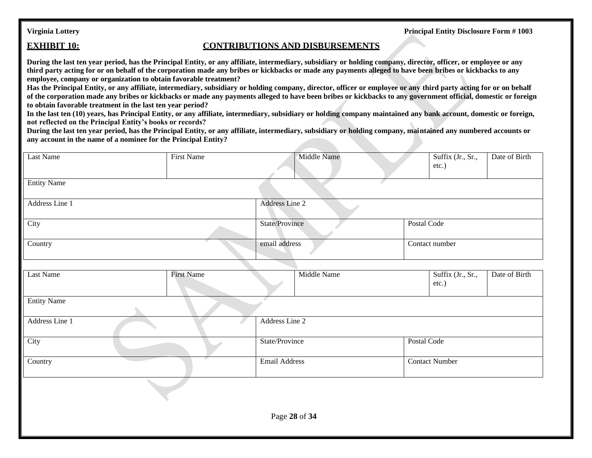### **EXHIBIT 10: CONTRIBUTIONS AND DISBURSEMENTS**

**During the last ten year period, has the Principal Entity, or any affiliate, intermediary, subsidiary or holding company, director, officer, or employee or any third party acting for or on behalf of the corporation made any bribes or kickbacks or made any payments alleged to have been bribes or kickbacks to any employee, company or organization to obtain favorable treatment?**

**Has the Principal Entity, or any affiliate, intermediary, subsidiary or holding company, director, officer or employee or any third party acting for or on behalf**  of the corporation made any bribes or kickbacks or made any payments alleged to have been bribes or kickbacks to any government official, domestic or foreign **to obtain favorable treatment in the last ten year period?**

**In the last ten (10) years, has Principal Entity, or any affiliate, intermediary, subsidiary or holding company maintained any bank account, domestic or foreign, not reflected on the Principal Entity's books or records?**

**During the last ten year period, has the Principal Entity, or any affiliate, intermediary, subsidiary or holding company, maintained any numbered accounts or any account in the name of a nominee for the Principal Entity?**

| Last Name          | <b>First Name</b> | Middle Name          |             | Suffix (Jr., Sr.,<br>etc.) | Date of Birth |
|--------------------|-------------------|----------------------|-------------|----------------------------|---------------|
| <b>Entity Name</b> |                   |                      |             |                            |               |
| Address Line 1     |                   | Address Line 2       |             |                            |               |
| City               |                   | State/Province       | Postal Code |                            |               |
| Country            |                   | email address        |             | Contact number             |               |
| Last Name          | <b>First Name</b> | Middle Name          |             | Suffix (Jr., Sr.,<br>etc.) | Date of Birth |
| <b>Entity Name</b> |                   |                      |             |                            |               |
| Address Line 1     |                   | Address Line 2       |             |                            |               |
| City               |                   | State/Province       | Postal Code |                            |               |
| Country            |                   | <b>Email Address</b> |             | <b>Contact Number</b>      |               |
|                    |                   |                      |             |                            |               |
|                    |                   | Page 28 of 34        |             |                            |               |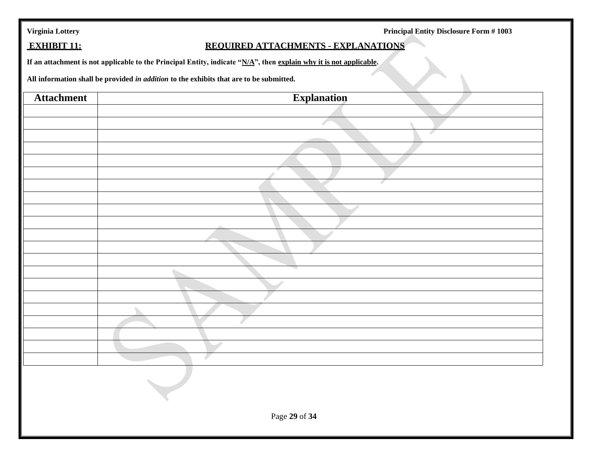| Virginia Lottery |  |  |  |
|------------------|--|--|--|
|                  |  |  |  |

Principal Entity Disclosure Form # 1003

# **EXHIBIT 11: REQUIRED ATTACHMENTS - EXPLANATIONS**

**If an attachment is not applicable to the Principal Entity, indicate "N/A", then explain why it is not applicable.**

**All information shall be provided** *in addition* **to the exhibits that are to be submitted.**

| <b>Attachment</b> | <b>Explanation</b> |  |
|-------------------|--------------------|--|
|                   |                    |  |
|                   |                    |  |
|                   |                    |  |
|                   |                    |  |
|                   |                    |  |
|                   | $\leftarrow$       |  |
|                   |                    |  |
|                   |                    |  |
|                   |                    |  |
|                   |                    |  |
|                   |                    |  |
|                   |                    |  |
|                   |                    |  |
|                   |                    |  |
|                   |                    |  |
|                   |                    |  |
|                   |                    |  |
|                   |                    |  |
|                   |                    |  |
|                   |                    |  |
|                   |                    |  |
|                   |                    |  |
|                   |                    |  |
| Page 29 of 34     |                    |  |
|                   |                    |  |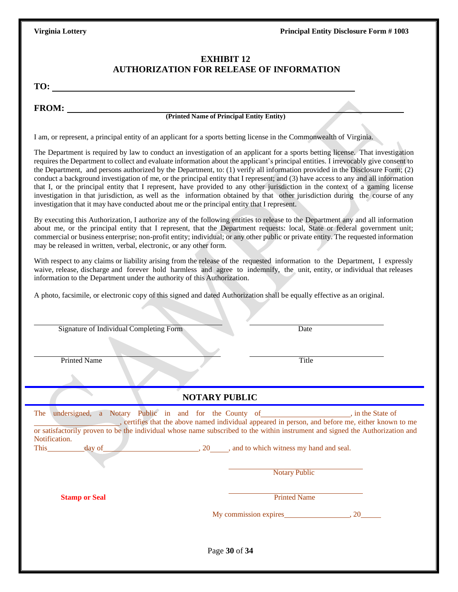### **EXHIBIT 12 AUTHORIZATION FOR RELEASE OF INFORMATION**

**TO:** 

**FROM:**

### **(Printed Name of Principal Entity Entity)**

I am, or represent, a principal entity of an applicant for a sports betting license in the Commonwealth of Virginia.

The Department is required by law to conduct an investigation of an applicant for a sports betting license. That investigation requires the Department to collect and evaluate information about the applicant's principal entities. I irrevocably give consent to the Department, and persons authorized by the Department, to: (1) verify all information provided in the Disclosure Form; (2) conduct a background investigation of me, or the principal entity that I represent; and (3) have access to any and all information that I, or the principal entity that I represent, have provided to any other jurisdiction in the context of a gaming license investigation in that jurisdiction, as well as the information obtained by that other jurisdiction during the course of any investigation that it may have conducted about me or the principal entity that I represent.

By executing this Authorization, I authorize any of the following entities to release to the Department any and all information about me, or the principal entity that I represent, that the Department requests: local, State or federal government unit; commercial or business enterprise; non-profit entity; individual; or any other public or private entity. The requested information may be released in written, verbal, electronic, or any other form.

With respect to any claims or liability arising from the release of the requested information to the Department, I expressly waive, release, discharge and forever hold harmless and agree to indemnify, the unit, entity, or individual that releases information to the Department under the authority of this Authorization.

A photo, facsimile, or electronic copy of this signed and dated Authorization shall be equally effective as an original.

| Signature of Individual Completing Form |                                                                              | Date                                                                                                                                                                                                                                                                                                                                                 |  |  |
|-----------------------------------------|------------------------------------------------------------------------------|------------------------------------------------------------------------------------------------------------------------------------------------------------------------------------------------------------------------------------------------------------------------------------------------------------------------------------------------------|--|--|
| <b>Printed Name</b>                     |                                                                              | <b>Title</b>                                                                                                                                                                                                                                                                                                                                         |  |  |
|                                         | <b>NOTARY PUBLIC</b>                                                         |                                                                                                                                                                                                                                                                                                                                                      |  |  |
| The<br>Notification.<br>This day of     | $\frac{1}{20}$ , 20, $\frac{1}{20}$ , and to which witness my hand and seal. | undersigned, a Notary Public in and for the County of _________________, in the State of<br>certifies that the above named individual appeared in person, and before me, either known to me<br>or satisfactorily proven to be the individual whose name subscribed to the within instrument and signed the Authorization and<br><b>Notary Public</b> |  |  |
| <b>Stamp or Seal</b>                    |                                                                              | <b>Printed Name</b>                                                                                                                                                                                                                                                                                                                                  |  |  |
| Page 30 of 34                           |                                                                              |                                                                                                                                                                                                                                                                                                                                                      |  |  |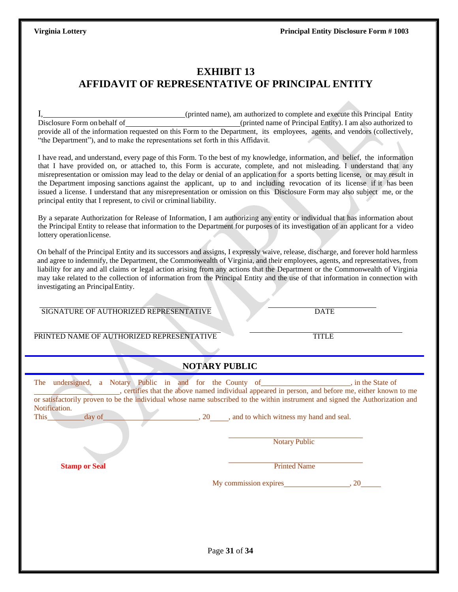# **EXHIBIT 13 AFFIDAVIT OF REPRESENTATIVE OF PRINCIPAL ENTITY**

I, (printed name), am authorized to complete and execute this Principal Entity<br>Disclosure Form on behalf of (principal Entity entitled name of Principal Entity). I am also authorized to (printed name of Principal Entity). I am also authorized to provide all of the information requested on this Form to the Department, its employees, agents, and vendors (collectively, "the Department"), and to make the representations set forth in this Affidavit.

I have read, and understand, every page of this Form. To the best of my knowledge, information, and belief, the information that I have provided on, or attached to, this Form is accurate, complete, and not misleading. I understand that any misrepresentation or omission may lead to the delay or denial of an application for a sports betting license, or may result in the Department imposing sanctions against the applicant, up to and including revocation of its license if it has been issued a license. I understand that any misrepresentation or omission on this Disclosure Form may also subject me, or the principal entity that I represent, to civil or criminalliability.

By a separate Authorization for Release of Information, I am authorizing any entity or individual that has information about the Principal Entity to release that information to the Department for purposes of its investigation of an applicant for a video lottery operationlicense.

On behalf of the Principal Entity and its successors and assigns, I expressly waive, release, discharge, and forever hold harmless and agree to indemnify, the Department, the Commonwealth of Virginia, and their employees, agents, and representatives, from liability for any and all claims or legal action arising from any actions that the Department or the Commonwealth of Virginia may take related to the collection of information from the Principal Entity and the use of that information in connection with investigating an PrincipalEntity.

SIGNATURE OF AUTHORIZED REPRESENTATIVE DATE

PRINTED NAME OF AUTHORIZED REPRESENTATIVE TITLE

### **NOTARY PUBLIC**

| Notification. |                      |                                                                                                                                                                                                                                                                                                                                                                                 |  |  |  |  |
|---------------|----------------------|---------------------------------------------------------------------------------------------------------------------------------------------------------------------------------------------------------------------------------------------------------------------------------------------------------------------------------------------------------------------------------|--|--|--|--|
|               |                      |                                                                                                                                                                                                                                                                                                                                                                                 |  |  |  |  |
|               | <b>Notary Public</b> |                                                                                                                                                                                                                                                                                                                                                                                 |  |  |  |  |
|               | <b>Printed Name</b>  |                                                                                                                                                                                                                                                                                                                                                                                 |  |  |  |  |
|               |                      |                                                                                                                                                                                                                                                                                                                                                                                 |  |  |  |  |
|               |                      |                                                                                                                                                                                                                                                                                                                                                                                 |  |  |  |  |
|               |                      |                                                                                                                                                                                                                                                                                                                                                                                 |  |  |  |  |
|               |                      |                                                                                                                                                                                                                                                                                                                                                                                 |  |  |  |  |
|               |                      | undersigned, a Notary Public in and for the County of ____________________, in the State of<br>, certifies that the above named individual appeared in person, and before me, either known to me<br>or satisfactorily proven to be the individual whose name subscribed to the within instrument and signed the Authorization and<br>20, and to which witness my hand and seal. |  |  |  |  |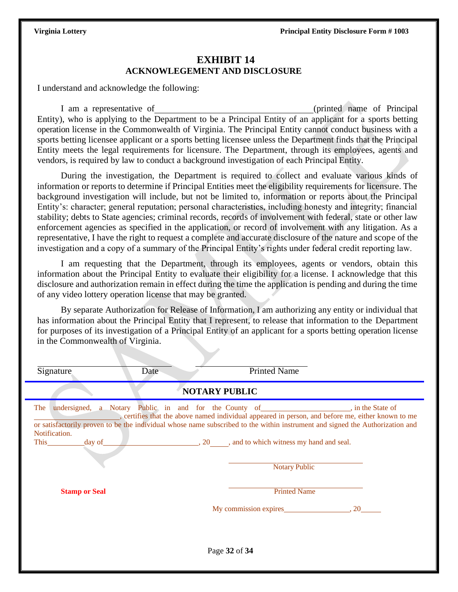### **EXHIBIT 14 ACKNOWLEGEMENT AND DISCLOSURE**

I understand and acknowledge the following:

I am a representative of (printed name of Principal Entity), who is applying to the Department to be a Principal Entity of an applicant for a sports betting operation license in the Commonwealth of Virginia. The Principal Entity cannot conduct business with a sports betting licensee applicant or a sports betting licensee unless the Department finds that the Principal Entity meets the legal requirements for licensure. The Department, through its employees, agents and vendors, is required by law to conduct a background investigation of each Principal Entity.

During the investigation, the Department is required to collect and evaluate various kinds of information or reports to determine if Principal Entities meet the eligibility requirements for licensure. The background investigation will include, but not be limited to, information or reports about the Principal Entity's: character; general reputation; personal characteristics, including honesty and integrity; financial stability; debts to State agencies; criminal records, records of involvement with federal, state or other law enforcement agencies as specified in the application, or record of involvement with any litigation. As a representative, I have the right to request a complete and accurate disclosure of the nature and scope of the investigation and a copy of a summary of the Principal Entity's rights under federal credit reporting law.

I am requesting that the Department, through its employees, agents or vendors, obtain this information about the Principal Entity to evaluate their eligibility for a license. I acknowledge that this disclosure and authorization remain in effect during the time the application is pending and during the time of any video lottery operation license that may be granted.

By separate Authorization for Release of Information, I am authorizing any entity or individual that has information about the Principal Entity that I represent, to release that information to the Department for purposes of its investigation of a Principal Entity of an applicant for a sports betting operation license in the Commonwealth of Virginia.

| Signature                              | Date | <b>Printed Name</b>                                                                                                                                                                                                                                                                                                                                                                    |  |  |  |
|----------------------------------------|------|----------------------------------------------------------------------------------------------------------------------------------------------------------------------------------------------------------------------------------------------------------------------------------------------------------------------------------------------------------------------------------------|--|--|--|
| <b>NOTARY PUBLIC</b>                   |      |                                                                                                                                                                                                                                                                                                                                                                                        |  |  |  |
| The<br>Notification.<br>day of<br>This |      | undersigned, a Notary Public in and for the County of ____________________, in the State of<br>certifies that the above named individual appeared in person, and before me, either known to me<br>or satisfactorily proven to be the individual whose name subscribed to the within instrument and signed the Authorization and<br>$\sim$ , 20, and to which witness my hand and seal. |  |  |  |
|                                        |      | <b>Notary Public</b>                                                                                                                                                                                                                                                                                                                                                                   |  |  |  |
| <b>Stamp or Seal</b>                   |      | <b>Printed Name</b>                                                                                                                                                                                                                                                                                                                                                                    |  |  |  |
|                                        |      | My commission expires 3.20                                                                                                                                                                                                                                                                                                                                                             |  |  |  |
|                                        |      |                                                                                                                                                                                                                                                                                                                                                                                        |  |  |  |
| Page 32 of 34                          |      |                                                                                                                                                                                                                                                                                                                                                                                        |  |  |  |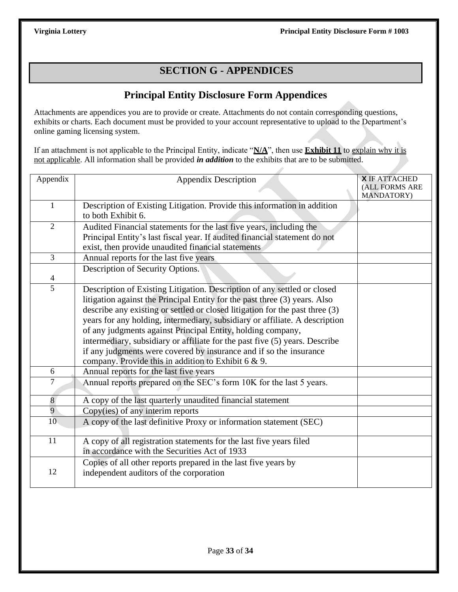# **SECTION G - APPENDICES**

# **Principal Entity Disclosure Form Appendices**

Attachments are appendices you are to provide or create. Attachments do not contain corresponding questions, exhibits or charts. Each document must be provided to your account representative to upload to the Department's online gaming licensing system.

If an attachment is not applicable to the Principal Entity, indicate "**N/A**", then use **Exhibit 11** to explain why it is not applicable. All information shall be provided *in addition* to the exhibits that are to be submitted.

| Appendix        | <b>Appendix Description</b>                                                  | <b>X IF ATTACHED</b>         |
|-----------------|------------------------------------------------------------------------------|------------------------------|
|                 |                                                                              | (ALL FORMS ARE<br>MANDATORY) |
| $\mathbf{1}$    | Description of Existing Litigation. Provide this information in addition     |                              |
|                 | to both Exhibit 6.                                                           |                              |
| $\overline{2}$  | Audited Financial statements for the last five years, including the          |                              |
|                 | Principal Entity's last fiscal year. If audited financial statement do not   |                              |
|                 | exist, then provide unaudited financial statements                           |                              |
| $\overline{3}$  | Annual reports for the last five years                                       |                              |
| $\overline{4}$  | Description of Security Options.                                             |                              |
| $\overline{5}$  | Description of Existing Litigation. Description of any settled or closed     |                              |
|                 | litigation against the Principal Entity for the past three (3) years. Also   |                              |
|                 | describe any existing or settled or closed litigation for the past three (3) |                              |
|                 | years for any holding, intermediary, subsidiary or affiliate. A description  |                              |
|                 | of any judgments against Principal Entity, holding company,                  |                              |
|                 | intermediary, subsidiary or affiliate for the past five (5) years. Describe  |                              |
|                 | if any judgments were covered by insurance and if so the insurance           |                              |
|                 | company. Provide this in addition to Exhibit $6 & 9$ .                       |                              |
| 6               | Annual reports for the last five years                                       |                              |
| 7               | Annual reports prepared on the SEC's form 10K for the last 5 years.          |                              |
| 8               | A copy of the last quarterly unaudited financial statement                   |                              |
| 9               | Copy(ies) of any interim reports                                             |                              |
| 10 <sup>°</sup> | A copy of the last definitive Proxy or information statement (SEC)           |                              |
| 11              | A copy of all registration statements for the last five years filed          |                              |
|                 | in accordance with the Securities Act of 1933                                |                              |
|                 | Copies of all other reports prepared in the last five years by               |                              |
| 12              | independent auditors of the corporation                                      |                              |